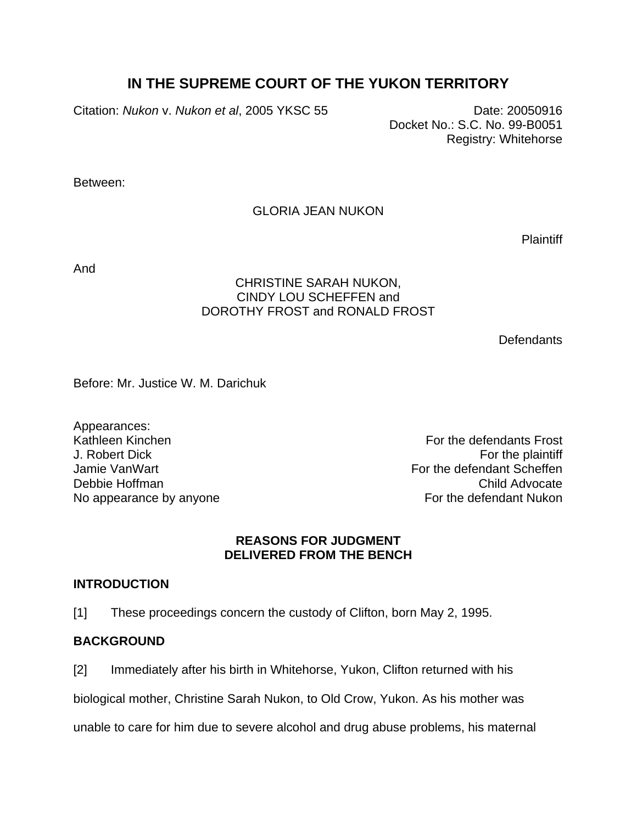# **IN THE SUPREME COURT OF THE YUKON TERRITORY**

Citation: *Nukon* v. *Nukon et al*, 2005 YKSC 55Date: 20050916

Docket No.: S.C. No. 99-B0051 Registry: Whitehorse

Between:

# GLORIA JEAN NUKON

**Plaintiff** 

And

### CHRISTINE SARAH NUKON, CINDY LOU SCHEFFEN and DOROTHY FROST and RONALD FROST

**Defendants** 

Before: Mr. Justice W. M. Darichuk

Appearances: Kathleen Kinchen For the defendants Frost

J. Robert Dick For the plaintiff Jamie VanWart **For the defendant Scheffen** Debbie Hoffman Child Advocate No appearance by anyone Note of the defendant Nukon

### **REASONS FOR JUDGMENT DELIVERED FROM THE BENCH**

# **INTRODUCTION**

[1] These proceedings concern the custody of Clifton, born May 2, 1995.

# **BACKGROUND**

[2] Immediately after his birth in Whitehorse, Yukon, Clifton returned with his

biological mother, Christine Sarah Nukon, to Old Crow, Yukon. As his mother was

unable to care for him due to severe alcohol and drug abuse problems, his maternal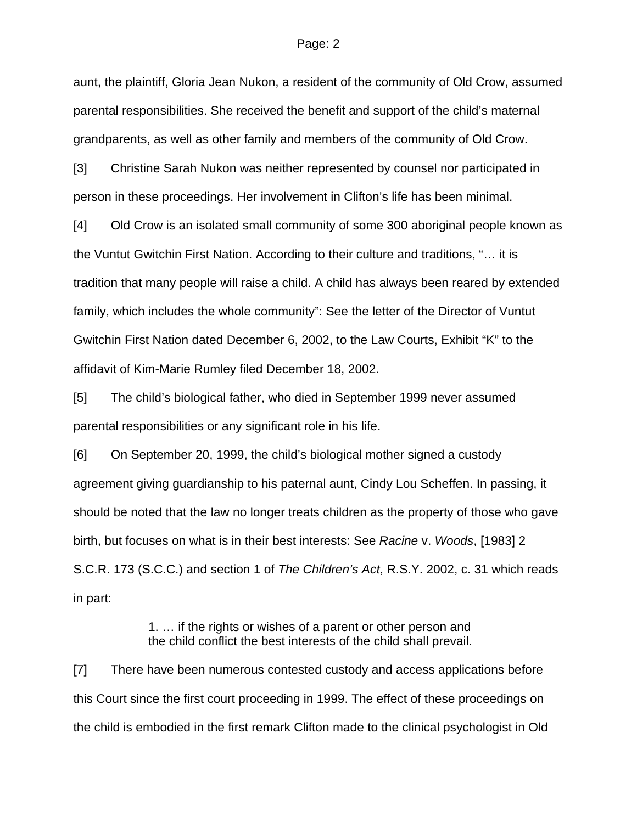aunt, the plaintiff, Gloria Jean Nukon, a resident of the community of Old Crow, assumed parental responsibilities. She received the benefit and support of the child's maternal grandparents, as well as other family and members of the community of Old Crow.

[3] Christine Sarah Nukon was neither represented by counsel nor participated in person in these proceedings. Her involvement in Clifton's life has been minimal.

[4] Old Crow is an isolated small community of some 300 aboriginal people known as the Vuntut Gwitchin First Nation. According to their culture and traditions, "… it is tradition that many people will raise a child. A child has always been reared by extended family, which includes the whole community": See the letter of the Director of Vuntut Gwitchin First Nation dated December 6, 2002, to the Law Courts, Exhibit "K" to the affidavit of Kim-Marie Rumley filed December 18, 2002.

[5] The child's biological father, who died in September 1999 never assumed parental responsibilities or any significant role in his life.

[6] On September 20, 1999, the child's biological mother signed a custody agreement giving guardianship to his paternal aunt, Cindy Lou Scheffen. In passing, it should be noted that the law no longer treats children as the property of those who gave birth, but focuses on what is in their best interests: See *Racine* v. *Woods*, [1983] 2 S.C.R. 173 (S.C.C.) and section 1 of *The Children's Act*, R.S.Y. 2002, c. 31 which reads in part:

> 1. … if the rights or wishes of a parent or other person and the child conflict the best interests of the child shall prevail.

[7] There have been numerous contested custody and access applications before this Court since the first court proceeding in 1999. The effect of these proceedings on the child is embodied in the first remark Clifton made to the clinical psychologist in Old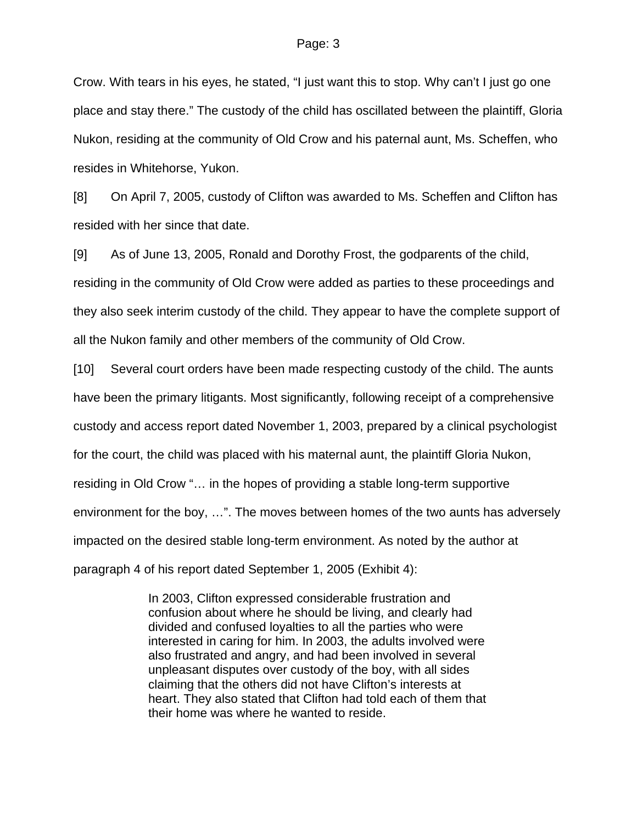Crow. With tears in his eyes, he stated, "I just want this to stop. Why can't I just go one place and stay there." The custody of the child has oscillated between the plaintiff, Gloria Nukon, residing at the community of Old Crow and his paternal aunt, Ms. Scheffen, who resides in Whitehorse, Yukon.

[8] On April 7, 2005, custody of Clifton was awarded to Ms. Scheffen and Clifton has resided with her since that date.

[9] As of June 13, 2005, Ronald and Dorothy Frost, the godparents of the child, residing in the community of Old Crow were added as parties to these proceedings and they also seek interim custody of the child. They appear to have the complete support of all the Nukon family and other members of the community of Old Crow.

[10] Several court orders have been made respecting custody of the child. The aunts have been the primary litigants. Most significantly, following receipt of a comprehensive custody and access report dated November 1, 2003, prepared by a clinical psychologist for the court, the child was placed with his maternal aunt, the plaintiff Gloria Nukon, residing in Old Crow "… in the hopes of providing a stable long-term supportive environment for the boy, …". The moves between homes of the two aunts has adversely impacted on the desired stable long-term environment. As noted by the author at paragraph 4 of his report dated September 1, 2005 (Exhibit 4):

> In 2003, Clifton expressed considerable frustration and confusion about where he should be living, and clearly had divided and confused loyalties to all the parties who were interested in caring for him. In 2003, the adults involved were also frustrated and angry, and had been involved in several unpleasant disputes over custody of the boy, with all sides claiming that the others did not have Clifton's interests at heart. They also stated that Clifton had told each of them that their home was where he wanted to reside.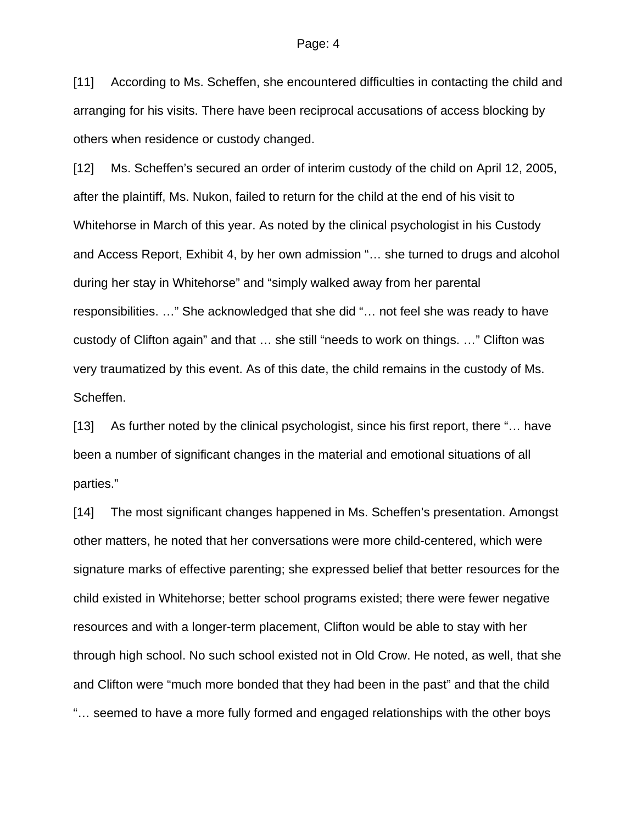[11] According to Ms. Scheffen, she encountered difficulties in contacting the child and arranging for his visits. There have been reciprocal accusations of access blocking by others when residence or custody changed.

[12] Ms. Scheffen's secured an order of interim custody of the child on April 12, 2005, after the plaintiff, Ms. Nukon, failed to return for the child at the end of his visit to Whitehorse in March of this year. As noted by the clinical psychologist in his Custody and Access Report, Exhibit 4, by her own admission "… she turned to drugs and alcohol during her stay in Whitehorse" and "simply walked away from her parental responsibilities. …" She acknowledged that she did "… not feel she was ready to have custody of Clifton again" and that … she still "needs to work on things. …" Clifton was very traumatized by this event. As of this date, the child remains in the custody of Ms. Scheffen.

[13] As further noted by the clinical psychologist, since his first report, there "… have been a number of significant changes in the material and emotional situations of all parties."

[14] The most significant changes happened in Ms. Scheffen's presentation. Amongst other matters, he noted that her conversations were more child-centered, which were signature marks of effective parenting; she expressed belief that better resources for the child existed in Whitehorse; better school programs existed; there were fewer negative resources and with a longer-term placement, Clifton would be able to stay with her through high school. No such school existed not in Old Crow. He noted, as well, that she and Clifton were "much more bonded that they had been in the past" and that the child "… seemed to have a more fully formed and engaged relationships with the other boys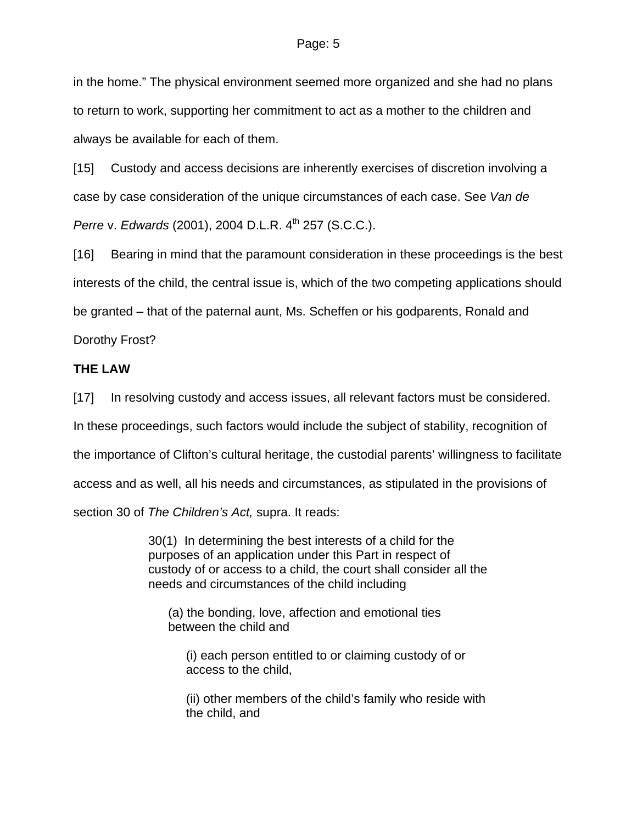in the home." The physical environment seemed more organized and she had no plans to return to work, supporting her commitment to act as a mother to the children and always be available for each of them.

[15] Custody and access decisions are inherently exercises of discretion involving a case by case consideration of the unique circumstances of each case. See *Van de Perre v. Edwards* (2001), 2004 D.L.R. 4<sup>th</sup> 257 (S.C.C.).

[16] Bearing in mind that the paramount consideration in these proceedings is the best interests of the child, the central issue is, which of the two competing applications should be granted – that of the paternal aunt, Ms. Scheffen or his godparents, Ronald and Dorothy Frost?

# **THE LAW**

[17] In resolving custody and access issues, all relevant factors must be considered.

In these proceedings, such factors would include the subject of stability, recognition of

the importance of Clifton's cultural heritage, the custodial parents' willingness to facilitate

access and as well, all his needs and circumstances, as stipulated in the provisions of

section 30 of *The Children's Act,* supra. It reads:

30(1) In determining the best interests of a child for the purposes of an application under this Part in respect of custody of or access to a child, the court shall consider all the needs and circumstances of the child including

 (a) the bonding, love, affection and emotional ties between the child and

 (i) each person entitled to or claiming custody of or access to the child,

 (ii) other members of the child's family who reside with the child, and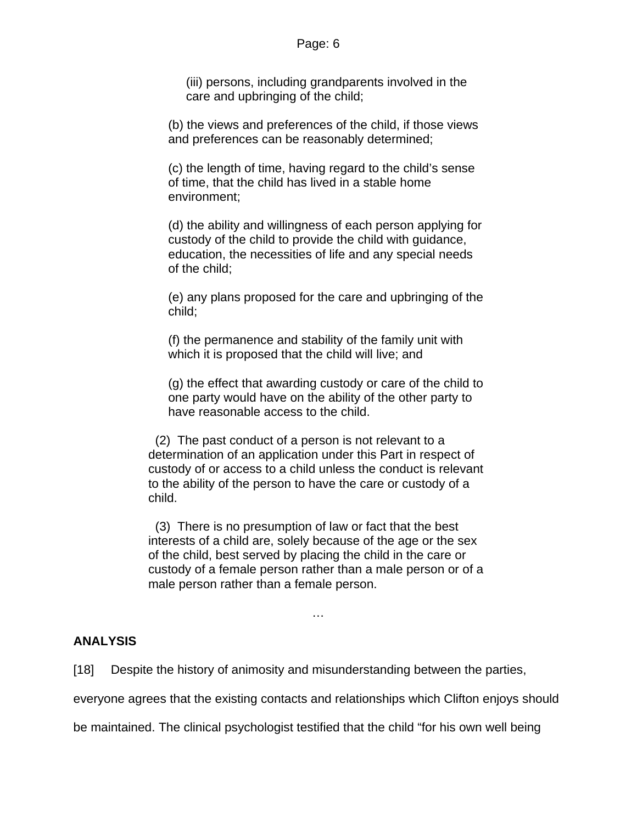(iii) persons, including grandparents involved in the care and upbringing of the child;

 (b) the views and preferences of the child, if those views and preferences can be reasonably determined;

 (c) the length of time, having regard to the child's sense of time, that the child has lived in a stable home environment;

 (d) the ability and willingness of each person applying for custody of the child to provide the child with guidance, education, the necessities of life and any special needs of the child;

 (e) any plans proposed for the care and upbringing of the child;

 (f) the permanence and stability of the family unit with which it is proposed that the child will live; and

 (g) the effect that awarding custody or care of the child to one party would have on the ability of the other party to have reasonable access to the child.

 (2) The past conduct of a person is not relevant to a determination of an application under this Part in respect of custody of or access to a child unless the conduct is relevant to the ability of the person to have the care or custody of a child.

 (3) There is no presumption of law or fact that the best interests of a child are, solely because of the age or the sex of the child, best served by placing the child in the care or custody of a female person rather than a male person or of a male person rather than a female person.

…

# **ANALYSIS**

[18] Despite the history of animosity and misunderstanding between the parties,

everyone agrees that the existing contacts and relationships which Clifton enjoys should

be maintained. The clinical psychologist testified that the child "for his own well being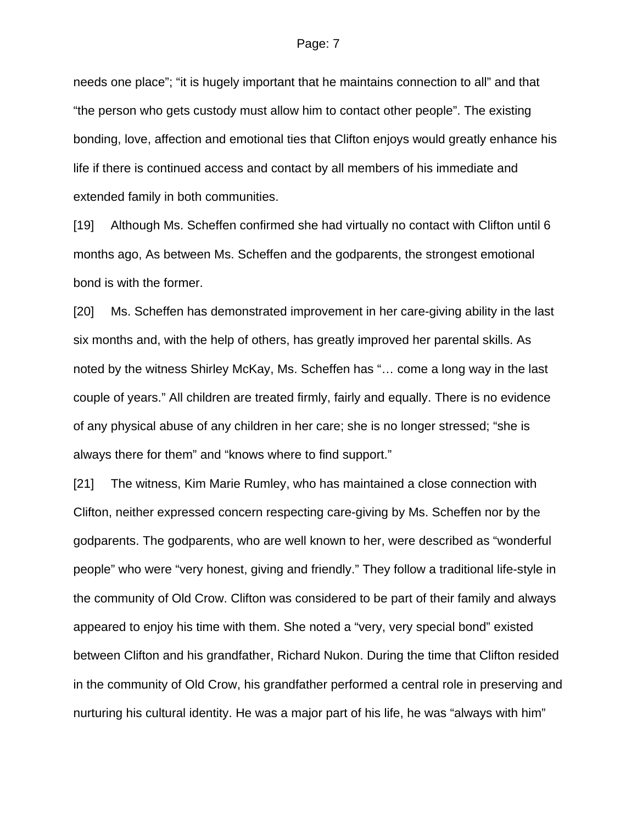needs one place"; "it is hugely important that he maintains connection to all" and that "the person who gets custody must allow him to contact other people". The existing bonding, love, affection and emotional ties that Clifton enjoys would greatly enhance his life if there is continued access and contact by all members of his immediate and extended family in both communities.

[19] Although Ms. Scheffen confirmed she had virtually no contact with Clifton until 6 months ago, As between Ms. Scheffen and the godparents, the strongest emotional bond is with the former.

[20] Ms. Scheffen has demonstrated improvement in her care-giving ability in the last six months and, with the help of others, has greatly improved her parental skills. As noted by the witness Shirley McKay, Ms. Scheffen has "… come a long way in the last couple of years." All children are treated firmly, fairly and equally. There is no evidence of any physical abuse of any children in her care; she is no longer stressed; "she is always there for them" and "knows where to find support."

[21] The witness, Kim Marie Rumley, who has maintained a close connection with Clifton, neither expressed concern respecting care-giving by Ms. Scheffen nor by the godparents. The godparents, who are well known to her, were described as "wonderful people" who were "very honest, giving and friendly." They follow a traditional life-style in the community of Old Crow. Clifton was considered to be part of their family and always appeared to enjoy his time with them. She noted a "very, very special bond" existed between Clifton and his grandfather, Richard Nukon. During the time that Clifton resided in the community of Old Crow, his grandfather performed a central role in preserving and nurturing his cultural identity. He was a major part of his life, he was "always with him"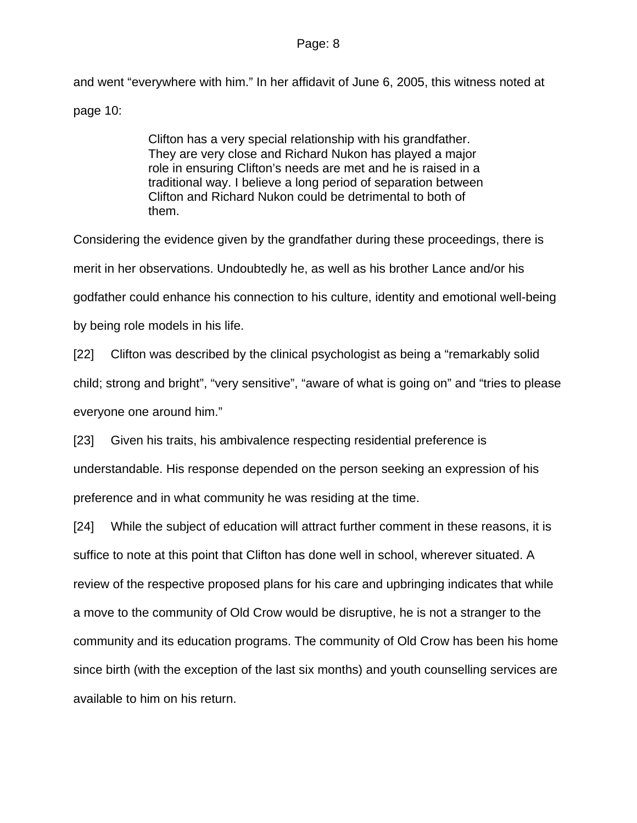and went "everywhere with him." In her affidavit of June 6, 2005, this witness noted at page 10:

> Clifton has a very special relationship with his grandfather. They are very close and Richard Nukon has played a major role in ensuring Clifton's needs are met and he is raised in a traditional way. I believe a long period of separation between Clifton and Richard Nukon could be detrimental to both of them.

Considering the evidence given by the grandfather during these proceedings, there is merit in her observations. Undoubtedly he, as well as his brother Lance and/or his godfather could enhance his connection to his culture, identity and emotional well-being by being role models in his life.

[22] Clifton was described by the clinical psychologist as being a "remarkably solid child; strong and bright", "very sensitive", "aware of what is going on" and "tries to please everyone one around him."

[23] Given his traits, his ambivalence respecting residential preference is understandable. His response depended on the person seeking an expression of his preference and in what community he was residing at the time.

[24] While the subject of education will attract further comment in these reasons, it is suffice to note at this point that Clifton has done well in school, wherever situated. A review of the respective proposed plans for his care and upbringing indicates that while a move to the community of Old Crow would be disruptive, he is not a stranger to the community and its education programs. The community of Old Crow has been his home since birth (with the exception of the last six months) and youth counselling services are available to him on his return.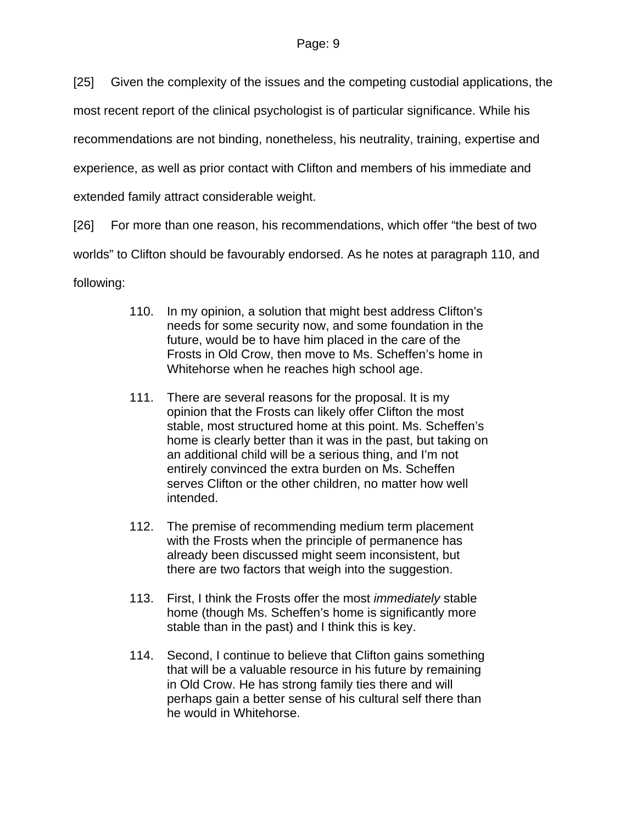[25] Given the complexity of the issues and the competing custodial applications, the

most recent report of the clinical psychologist is of particular significance. While his

recommendations are not binding, nonetheless, his neutrality, training, expertise and

experience, as well as prior contact with Clifton and members of his immediate and

extended family attract considerable weight.

[26] For more than one reason, his recommendations, which offer "the best of two worlds" to Clifton should be favourably endorsed. As he notes at paragraph 110, and following:

- 110. In my opinion, a solution that might best address Clifton's needs for some security now, and some foundation in the future, would be to have him placed in the care of the Frosts in Old Crow, then move to Ms. Scheffen's home in Whitehorse when he reaches high school age.
- 111. There are several reasons for the proposal. It is my opinion that the Frosts can likely offer Clifton the most stable, most structured home at this point. Ms. Scheffen's home is clearly better than it was in the past, but taking on an additional child will be a serious thing, and I'm not entirely convinced the extra burden on Ms. Scheffen serves Clifton or the other children, no matter how well intended.
- 112. The premise of recommending medium term placement with the Frosts when the principle of permanence has already been discussed might seem inconsistent, but there are two factors that weigh into the suggestion.
- 113. First, I think the Frosts offer the most *immediately* stable home (though Ms. Scheffen's home is significantly more stable than in the past) and I think this is key.
- 114. Second, I continue to believe that Clifton gains something that will be a valuable resource in his future by remaining in Old Crow. He has strong family ties there and will perhaps gain a better sense of his cultural self there than he would in Whitehorse.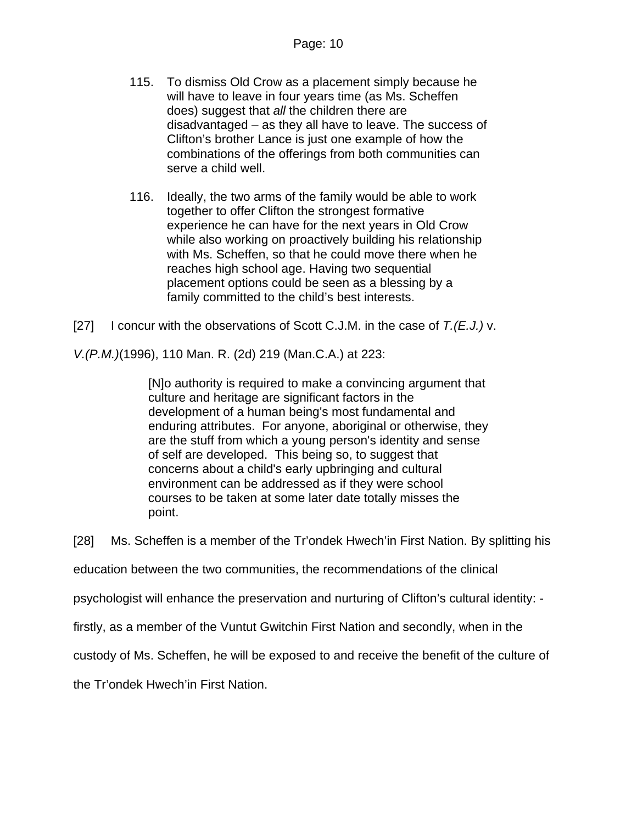- 115. To dismiss Old Crow as a placement simply because he will have to leave in four years time (as Ms. Scheffen does) suggest that *all* the children there are disadvantaged – as they all have to leave. The success of Clifton's brother Lance is just one example of how the combinations of the offerings from both communities can serve a child well.
- 116. Ideally, the two arms of the family would be able to work together to offer Clifton the strongest formative experience he can have for the next years in Old Crow while also working on proactively building his relationship with Ms. Scheffen, so that he could move there when he reaches high school age. Having two sequential placement options could be seen as a blessing by a family committed to the child's best interests.
- [27] I concur with the observations of Scott C.J.M. in the case of *T.(E.J.)* v.

*V.(P.M.)*(1996), 110 Man. R. (2d) 219 (Man.C.A.) at 223:

[N]o authority is required to make a convincing argument that culture and heritage are significant factors in the development of a human being's most fundamental and enduring attributes. For anyone, aboriginal or otherwise, they are the stuff from which a young person's identity and sense of self are developed. This being so, to suggest that concerns about a child's early upbringing and cultural environment can be addressed as if they were school courses to be taken at some later date totally misses the point.

[28] Ms. Scheffen is a member of the Tr'ondek Hwech'in First Nation. By splitting his

education between the two communities, the recommendations of the clinical

psychologist will enhance the preservation and nurturing of Clifton's cultural identity: -

firstly, as a member of the Vuntut Gwitchin First Nation and secondly, when in the

custody of Ms. Scheffen, he will be exposed to and receive the benefit of the culture of

the Tr'ondek Hwech'in First Nation.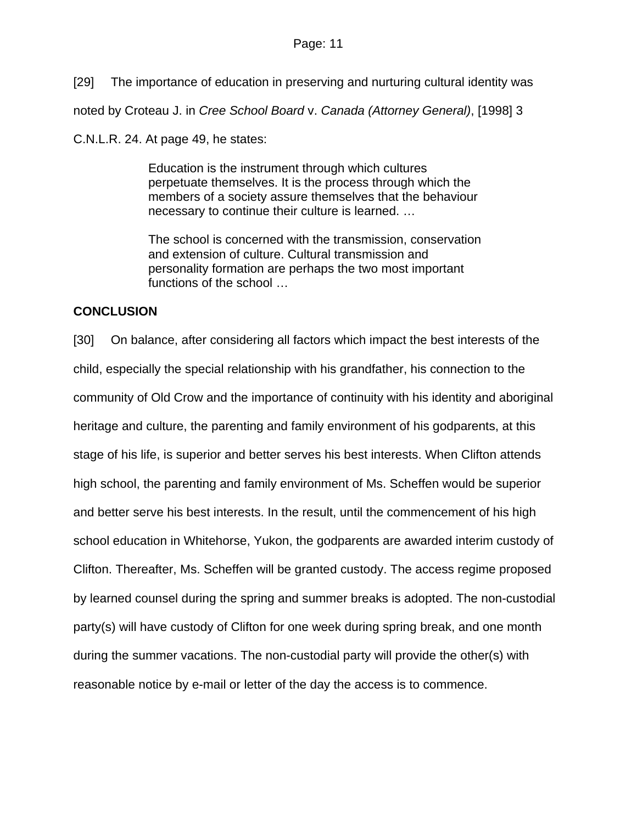[29] The importance of education in preserving and nurturing cultural identity was

noted by Croteau J. in *Cree School Board* v. *Canada (Attorney General)*, [1998] 3

C.N.L.R. 24. At page 49, he states:

Education is the instrument through which cultures perpetuate themselves. It is the process through which the members of a society assure themselves that the behaviour necessary to continue their culture is learned. …

The school is concerned with the transmission, conservation and extension of culture. Cultural transmission and personality formation are perhaps the two most important functions of the school ...

# **CONCLUSION**

[30] On balance, after considering all factors which impact the best interests of the child, especially the special relationship with his grandfather, his connection to the community of Old Crow and the importance of continuity with his identity and aboriginal heritage and culture, the parenting and family environment of his godparents, at this stage of his life, is superior and better serves his best interests. When Clifton attends high school, the parenting and family environment of Ms. Scheffen would be superior and better serve his best interests. In the result, until the commencement of his high school education in Whitehorse, Yukon, the godparents are awarded interim custody of Clifton. Thereafter, Ms. Scheffen will be granted custody. The access regime proposed by learned counsel during the spring and summer breaks is adopted. The non-custodial party(s) will have custody of Clifton for one week during spring break, and one month during the summer vacations. The non-custodial party will provide the other(s) with reasonable notice by e-mail or letter of the day the access is to commence.